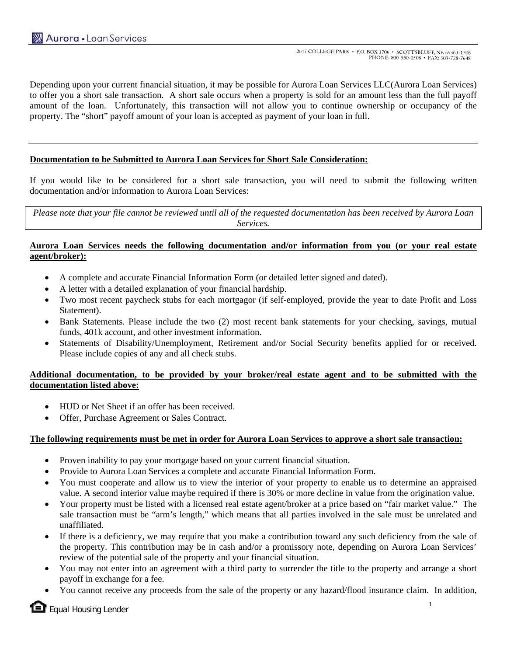Depending upon your current financial situation, it may be possible for Aurora Loan Services LLC(Aurora Loan Services) to offer you a short sale transaction. A short sale occurs when a property is sold for an amount less than the full payoff amount of the loan. Unfortunately, this transaction will not allow you to continue ownership or occupancy of the property. The "short" payoff amount of your loan is accepted as payment of your loan in full.

## **Documentation to be Submitted to Aurora Loan Services for Short Sale Consideration:**

If you would like to be considered for a short sale transaction, you will need to submit the following written documentation and/or information to Aurora Loan Services:

*Please note that your file cannot be reviewed until all of the requested documentation has been received by Aurora Loan Services.* 

### **Aurora Loan Services needs the following documentation and/or information from you (or your real estate agent/broker):**

- A complete and accurate Financial Information Form (or detailed letter signed and dated).
- A letter with a detailed explanation of your financial hardship.
- Two most recent paycheck stubs for each mortgagor (if self-employed, provide the year to date Profit and Loss Statement).
- Bank Statements. Please include the two (2) most recent bank statements for your checking, savings, mutual funds, 401k account, and other investment information.
- Statements of Disability/Unemployment, Retirement and/or Social Security benefits applied for or received. Please include copies of any and all check stubs.

## **Additional documentation, to be provided by your broker/real estate agent and to be submitted with the documentation listed above:**

- HUD or Net Sheet if an offer has been received.
- Offer, Purchase Agreement or Sales Contract.

### **The following requirements must be met in order for Aurora Loan Services to approve a short sale transaction:**

- Proven inability to pay your mortgage based on your current financial situation.
- Provide to Aurora Loan Services a complete and accurate Financial Information Form.
- You must cooperate and allow us to view the interior of your property to enable us to determine an appraised value. A second interior value maybe required if there is 30% or more decline in value from the origination value.
- Your property must be listed with a licensed real estate agent/broker at a price based on "fair market value." The sale transaction must be "arm's length," which means that all parties involved in the sale must be unrelated and unaffiliated.
- If there is a deficiency, we may require that you make a contribution toward any such deficiency from the sale of the property. This contribution may be in cash and/or a promissory note, depending on Aurora Loan Services' review of the potential sale of the property and your financial situation.
- You may not enter into an agreement with a third party to surrender the title to the property and arrange a short payoff in exchange for a fee.
- You cannot receive any proceeds from the sale of the property or any hazard/flood insurance claim. In addition,

 $\blacksquare$  Equal Housing Lender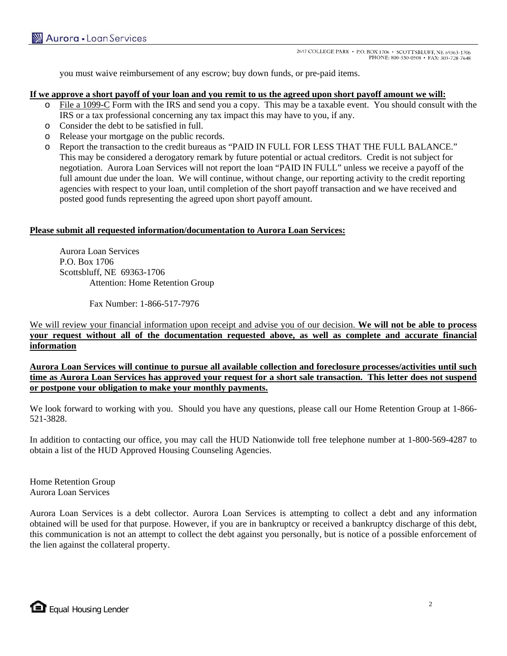you must waive reimbursement of any escrow; buy down funds, or pre-paid items.

#### **If we approve a short payoff of your loan and you remit to us the agreed upon short payoff amount we will:**

- o File a 1099-C Form with the IRS and send you a copy. This may be a taxable event. You should consult with the IRS or a tax professional concerning any tax impact this may have to you, if any.
- o Consider the debt to be satisfied in full.
- o Release your mortgage on the public records.
- o Report the transaction to the credit bureaus as "PAID IN FULL FOR LESS THAT THE FULL BALANCE." This may be considered a derogatory remark by future potential or actual creditors. Credit is not subject for negotiation. Aurora Loan Services will not report the loan "PAID IN FULL" unless we receive a payoff of the full amount due under the loan. We will continue, without change, our reporting activity to the credit reporting agencies with respect to your loan, until completion of the short payoff transaction and we have received and posted good funds representing the agreed upon short payoff amount.

### **Please submit all requested information/documentation to Aurora Loan Services:**

 Aurora Loan Services P.O. Box 1706 Scottsbluff, NE 69363-1706 Attention: Home Retention Group

Fax Number: 1-866-517-7976

We will review your financial information upon receipt and advise you of our decision. **We will not be able to process your request without all of the documentation requested above, as well as complete and accurate financial information**

**Aurora Loan Services will continue to pursue all available collection and foreclosure processes/activities until such time as Aurora Loan Services has approved your request for a short sale transaction. This letter does not suspend or postpone your obligation to make your monthly payments.**

We look forward to working with you. Should you have any questions, please call our Home Retention Group at 1-866- 521-3828.

In addition to contacting our office, you may call the HUD Nationwide toll free telephone number at 1-800-569-4287 to obtain a list of the HUD Approved Housing Counseling Agencies.

Home Retention Group Aurora Loan Services

Aurora Loan Services is a debt collector. Aurora Loan Services is attempting to collect a debt and any information obtained will be used for that purpose. However, if you are in bankruptcy or received a bankruptcy discharge of this debt, this communication is not an attempt to collect the debt against you personally, but is notice of a possible enforcement of the lien against the collateral property.